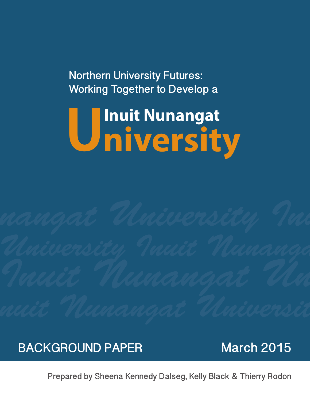**Northern University Futures: Working Together to Develop a**

# **Inuit Nunangat University**

### **BACKGROUND PAPER March 2015**

**Prepared by Sheena Kennedy Dalseg, Kelly Black & Thierry Rodon**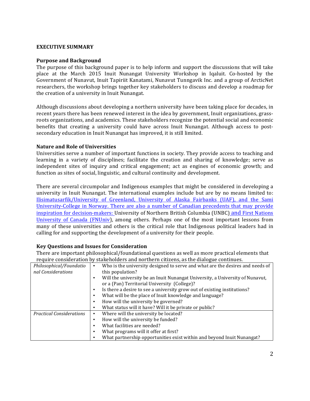#### **EXECUTIVE SUMMARY**

#### **Purpose and Background**

The purpose of this background paper is to help inform and support the discussions that will take place at the March 2015 Inuit Nunangat University Workshop in Iqaluit. Co-hosted by the Government of Nunavut, Inuit Tapiriit Kanatami, Nunavut Tunngavik Inc. and a group of ArcticNet researchers, the workshop brings together key stakeholders to discuss and develop a roadmap for the creation of a university in Inuit Nunangat.

Although discussions about developing a northern university have been taking place for decades, in recent years there has been renewed interest in the idea by government, Inuit organizations, grassroots organizations, and academics. These stakeholders recognize the potential social and economic benefits that creating a university could have across Inuit Nunangat. Although access to postsecondary education in Inuit Nunangat has improved, it is still limited.

#### **Nature and Role of Universities**

Universities serve a number of important functions in society. They provide access to teaching and learning in a variety of disciplines; facilitate the creation and sharing of knowledge; serve as independent sites of inquiry and critical engagement; act as engines of economic growth; and function as sites of social, linguistic, and cultural continuity and development.

There are several circumpolar and Indigenous examples that might be considered in developing a university in Inuit Nunangat. The international examples include but are by no means limited to: Ilisimatusarfik/University of Greenland, University of Alaska Fairbanks (UAF), and the Sami University-College in Norway. There are also a number of Canadian precedents that may provide inspiration for decision-makers: University of Northern British Columbia (UNBC) and First Nations University of Canada (FNUniv), among others. Perhaps one of the most important lessons from many of these universities and others is the critical role that Indigenous political leaders had in calling for and supporting the development of a university for their people.

#### **Key Questions and Issues for Consideration**

There are important philosophical/foundational questions as well as more practical elements that require consideration by stakeholders and northern citizens, as the dialogue continues.

| require consideration by suncholaers and normern chillens, as the althogue continues. |                                                                                    |  |  |  |
|---------------------------------------------------------------------------------------|------------------------------------------------------------------------------------|--|--|--|
| Philosophical/Foundatio                                                               | Who is the university designed to serve and what are the desires and needs of<br>٠ |  |  |  |
| nal Considerations                                                                    | this population?                                                                   |  |  |  |
|                                                                                       | Will the university be an Inuit Nunangat University, a University of Nunavut,      |  |  |  |
|                                                                                       | or a (Pan) Territorial University (College)?                                       |  |  |  |
|                                                                                       | Is there a desire to see a university grow out of existing institutions?<br>٠      |  |  |  |
|                                                                                       | What will be the place of Inuit knowledge and language?<br>٠                       |  |  |  |
|                                                                                       | How will the university be governed?<br>٠                                          |  |  |  |
|                                                                                       | What status will it have? Will it be private or public?<br>٠                       |  |  |  |
| <b>Practical Considerations</b>                                                       | Where will the university be located?<br>٠                                         |  |  |  |
|                                                                                       | How will the university be funded?<br>٠                                            |  |  |  |
|                                                                                       | What facilities are needed?<br>٠                                                   |  |  |  |
|                                                                                       | What programs will it offer at first?<br>٠                                         |  |  |  |
|                                                                                       | What partnership opportunities exist within and beyond Inuit Nunangat?<br>٠        |  |  |  |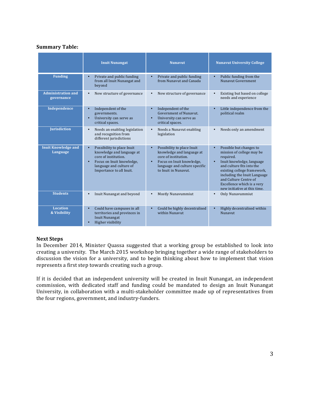#### **Summary!Table:**

|                                         | <b>Inuit Nunangat</b>                                                                                                                                                                         | <b>Nunavut</b>                                                                                                                                                                                  | <b>Nunavut University College</b>                                                                                                                                                                                                                                                                           |
|-----------------------------------------|-----------------------------------------------------------------------------------------------------------------------------------------------------------------------------------------------|-------------------------------------------------------------------------------------------------------------------------------------------------------------------------------------------------|-------------------------------------------------------------------------------------------------------------------------------------------------------------------------------------------------------------------------------------------------------------------------------------------------------------|
| <b>Funding</b>                          | Private and public funding<br>$\bullet$<br>from all Inuit Nunangat and<br>beyond                                                                                                              | Private and public funding<br>$\bullet$<br>from Nunavut and Canada                                                                                                                              | $\bullet$<br>Public funding from the<br>Nunavut Government                                                                                                                                                                                                                                                  |
| <b>Administration and</b><br>governance | New structure of governance<br>$\bullet$                                                                                                                                                      | New structure of governance<br>$\bullet$                                                                                                                                                        | Existing but based on college<br>$\bullet$<br>needs and experience                                                                                                                                                                                                                                          |
| Independence                            | Independent of the<br>$\bullet$<br>governments.<br>University can serve as<br>$\bullet$<br>critical spaces.                                                                                   | Independent of the<br>$\bullet$<br>Government of Nunavut.<br>University can serve as<br>$\bullet$<br>critical spaces.                                                                           | Little independence from the<br>$\bullet$<br>political realm                                                                                                                                                                                                                                                |
| Jurisdiction                            | $\bullet$<br>Needs an enabling legislation<br>and recognition from<br>different jurisdictions                                                                                                 | Needs a Nunavut enabling<br>$\bullet$<br>legislation                                                                                                                                            | Needs only an amendment<br>$\bullet$                                                                                                                                                                                                                                                                        |
| <b>Inuit Knowledge and</b><br>Language  | $\bullet$<br>Possibility to place Inuit<br>knowledge and language at<br>core of institution.<br>Focus on Inuit knowledge,<br>$\bullet$<br>language and culture of<br>Importance to all Inuit. | Possibility to place Inuit<br>$\bullet$<br>knowledge and language at<br>core of institution.<br>Focus on Inuit knowledge,<br>$\bullet$<br>language and culture specific<br>to Inuit in Nunavut. | Possible but changes to<br>$\bullet$<br>mission of college may be<br>required.<br>Inuit knowledge, language<br>$\bullet$<br>and culture fits into the<br>existing college framework,<br>including the Inuit Language<br>and Culture Centre of<br>Excellence which is a very<br>new initiative at this time. |
| <b>Students</b>                         | Inuit Nunangat and beyond<br>$\bullet$                                                                                                                                                        | <b>Mostly Nunavummiut</b><br>$\bullet$                                                                                                                                                          | Only Nunavummiut<br>$\bullet$                                                                                                                                                                                                                                                                               |
| <b>Location</b><br>& Visibility         | $\bullet$<br>Could have campuses in all<br>territories and provinces in<br><b>Inuit Nunangat</b><br>Higher visibility<br>$\bullet$                                                            | Could be highly decentralised<br>$\bullet$<br>within Nunavut                                                                                                                                    | Highly decentralised within<br>$\bullet$<br><b>Nunavut</b>                                                                                                                                                                                                                                                  |

#### **Next!Steps**

In December 2014, Minister Quassa suggested that a working group be established to look into creating a university. The March 2015 workshop bringing together a wide range of stakeholders to discussion the vision for a university, and to begin thinking about how to implement that vision represents a first step towards creating such a group.

If it is decided that an independent university will be created in Inuit Nunangat, an independent commission, with dedicated staff and funding could be mandated to design an Inuit Nunangat University, in collaboration with a multi-stakeholder committee made up of representatives from the four regions, government, and industry-funders.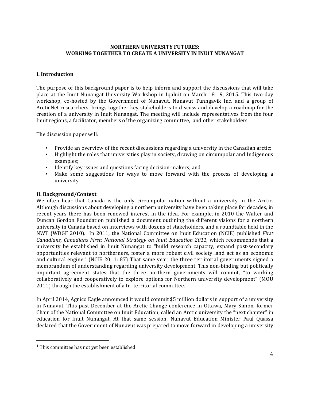#### **NORTHERN UNIVERSITY FUTURES: WORKING TOGETHER TO CREATE A UNIVERSITY IN INUIT NUNANGAT**

#### **I.** Introduction

The purpose of this background paper is to help inform and support the discussions that will take place at the Inuit Nunangat University Workshop in Iqaluit on March 18-19, 2015. This two-day workshop, co-hosted by the Government of Nunavut, Nunavut Tunngavik Inc. and a group of ArcticNet researchers, brings together key stakeholders to discuss and develop a roadmap for the creation of a university in Inuit Nunangat. The meeting will include representatives from the four Inuit regions, a facilitator, members of the organizing committee, and other stakeholders.

The discussion paper will:

- Provide an overview of the recent discussions regarding a university in the Canadian arctic;
- · Highlight the roles that universities play in society, drawing on circumpolar and Indigenous examples;
- **•** Identify key issues and questions facing decision-makers; and
- Make some suggestions for ways to move forward with the process of developing a university.!

#### **II. Background/Context**

We often hear that Canada is the only circumpolar nation without a university in the Arctic. Although discussions about developing a northern university have been taking place for decades, in recent years there has been renewed interest in the idea. For example, in 2010 the Walter and Duncan Gordon Foundation published a document outlining the different visions for a northern university in Canada based on interviews with dozens of stakeholders, and a roundtable held in the NWT (WDGF 2010). In 2011, the National Committee on Inuit Education (NCIE) published *First Canadians, Canadians First: National Strategy on Inuit Education 2011*, which recommends that a university be established in Inuit Nunangat to "build research capacity, expand post-secondary opportunities relevant to northerners, foster a more robust civil society...and act as an economic and cultural engine." (NCIE 2011: 87) That same year, the three territorial governments signed a memorandum of understanding regarding university development. This non-binding but politically important agreement states that the three northern governments will commit, "to working collaboratively and cooperatively to explore options for Northern university development" (MOU 2011) through the establishment of a tri-territorial committee.<sup>1</sup>

In April 2014, Agnico Eagle announced it would commit \$5 million dollars in support of a university in Nunavut. This past December at the Arctic Change conference in Ottawa, Mary Simon, former Chair of the National Committee on Inuit Education, called an Arctic university the "next chapter" in education for Inuit Nunangat. At that same session, Nunavut Education Minister Paul Quassa declared that the Government of Nunavut was prepared to move forward in developing a university

!!!!!!!!!!!!!!!!!!!!!!!!!!!!!!!!!!!!!!!!!!!!!!!!!!!!!!!

 $<sup>1</sup>$  This committee has not yet been established.</sup>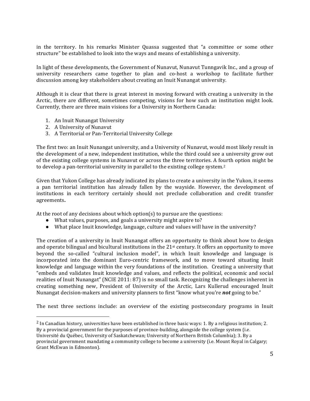in the territory. In his remarks Minister Quassa suggested that "a committee or some other structure" be established to look into the ways and means of establishing a university.

In light of these developments, the Government of Nunavut, Nunavut Tunngavik Inc., and a group of university researchers came together to plan and co-host a workshop to facilitate further discussion among key stakeholders about creating an Inuit Nunangat university.

Although it is clear that there is great interest in moving forward with creating a university in the Arctic, there are different, sometimes competing, visions for how such an institution might look. Currently, there are three main visions for a University in Northern Canada:

- 1. An Inuit Nunangat University
- 2. A University of Nunavut

!!!!!!!!!!!!!!!!!!!!!!!!!!!!!!!!!!!!!!!!!!!!!!!!!!!!!!!

3. A Territorial or Pan-Territorial University College

The first two: an Inuit Nunangat university, and a University of Nunavut, would most likely result in the development of a new, independent institution, while the third could see a university grow out of the existing college systems in Nunavut or across the three territories. A fourth option might be to develop a pan-territorial university in parallel to the existing college system.<sup>2</sup>

Given that Yukon College has already indicated its plans to create a university in the Yukon, it seems a pan territorial institution has already fallen by the wayside. However, the development of institutions in each territory certainly should not preclude collaboration and credit transfer agreements**.!**

At the root of any decisions about which option(s) to pursue are the questions:

- $\bullet$  What values, purposes, and goals a university might aspire to?
- What place Inuit knowledge, language, culture and values will have in the university?

The creation of a university in Inuit Nunangat offers an opportunity to think about how to design and operate bilingual and bicultural institutions in the  $21<sup>st</sup>$  century. It offers an opportunity to move beyond the so-called "cultural inclusion model", in which Inuit knowledge and language is incorporated into the dominant Euro-centric framework, and to move toward situating Inuit knowledge and language within the very foundations of the institution. Creating a university that "embeds and validates Inuit knowledge and values, and reflects the political, economic and social realities of Inuit Nunangat" (NCIE 2011: 87) is no small task. Recognizing the challenges inherent in creating something new, President of University of the Arctic, Lars Kullerud encouraged Inuit Nunangat decision-makers and university planners to first "know what you're **not** going to be."

The next three sections include: an overview of the existing postsecondary programs in Inuit

<sup>&</sup>lt;sup>2</sup> In Canadian history, universities have been established in three basic ways: 1. By a religious institution; 2. By a provincial government for the purposes of province-building, alongside the college system (i.e. Université du Québec, University of Saskatchewan; University of Northern British Columbia); 3. By a provincial government mandating a community college to become a university (i.e. Mount Royal in Calgary; Grant McEwan in Edmonton).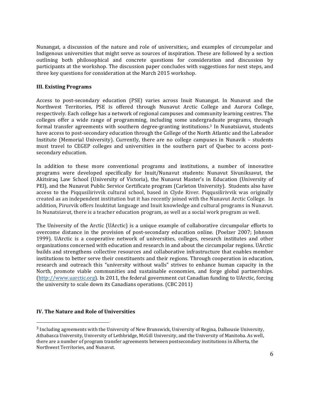Nunangat, a discussion of the nature and role of universities;, and examples of circumpolar and Indigenous universities that might serve as sources of inspiration. These are followed by a section outlining both philosophical and concrete questions for consideration and discussion by participants at the workshop. The discussion paper concludes with suggestions for next steps, and three key questions for consideration at the March 2015 workshop.

#### **III. Existing Programs**

Access to post-secondary education (PSE) varies across Inuit Nunangat. In Nunavut and the Northwest Territories, PSE is offered through Nunavut Arctic College and Aurora College, respectively. Each college has a network of regional campuses and community learning centres. The colleges offer a wide range of programming, including some undergraduate programs, through formal transfer agreements with southern degree-granting institutions.<sup>3</sup> In Nunatsiavut, students have access to post-secondary education through the College of the North Atlantic and the Labrador Institute (Memorial University). Currently, there are no college campuses in Nunavik – students must travel to CEGEP colleges and universities in the southern part of Quebec to access postsecondary education.

In addition to these more conventional programs and institutions, a number of innovative programs were developed specifically for Inuit/Nunavut students: Nunavut Sivuniksavut, the Akitsiraq Law School (University of Victoria), the Nunavut Master's in Education (University of PEI), and the Nunavut Public Service Certificate program (Carleton University). Students also have access to the Piqqusilirivvik cultural school, based in Clyde River. Piqqusilirivvik was originally created as an independent institution but it has recently joined with the Nunavut Arctic College. In addition, Pirurvik offers Inuktitut language and Inuit knowledge and cultural programs in Nunavut. In Nunatsiavut, there is a teacher education program, as well as a social work program as well.

The University of the Arctic (UArctic) is a unique example of collaborative circumpolar efforts to overcome distance in the provision of post-secondary education online. (Poelzer 2007; Johnson 1999). UArctic is a cooperative network of universities, colleges, research institutes and other organizations concerned with education and research in and about the circumpolar regions. UArctic builds and strengthens collective resources and collaborative infrastructure that enables member institutions to better serve their constituents and their regions. Through cooperation in education, research and outreach this "university without walls" strives to enhance human capacity in the North, promote viable communities and sustainable economies, and forge global partnerships. (http://www.uarctic.org). In 2011, the federal government cut Canadian funding to UArctic, forcing the university to scale down its Canadians operations. (CBC 2011)

#### **IV. The Nature and Role of Universities**

!!!!!!!!!!!!!!!!!!!!!!!!!!!!!!!!!!!!!!!!!!!!!!!!!!!!!!!

 $3$  Including agreements with the University of New Brunswick, University of Regina, Dalhousie University, Athabasca University, University of Lethbridge, McGill University, and the University of Manitoba. As well, there are a number of program transfer agreements between postsecondary institutions in Alberta, the Northwest Territories, and Nunavut.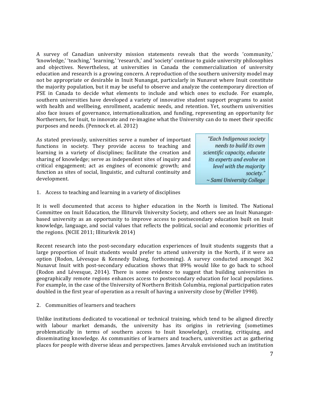A survey of Canadian university mission statements reveals that the words 'community,' 'knowledge,' 'teaching,' 'learning,' 'research,' and 'society' continue to guide university philosophies and objectives. Nevertheless, at universities in Canada the commercialization of university education and research is a growing concern. A reproduction of the southern university model may not be appropriate or desirable in Inuit Nunangat, particularly in Nunavut where Inuit constitute the majority population, but it may be useful to observe and analyze the contemporary direction of PSE in Canada to decide what elements to include and which ones to exclude. For example, southern universities have developed a variety of innovative student support programs to assist with health and wellbeing, enrollment, academic needs, and retention. Yet, southern universities also face issues of governance, internationalization, and funding, representing an opportunity for Northerners, for Inuit, to innovate and re-imagine what the University can do to meet their specific purposes and needs. (Pennock et. al. 2012).

As stated previously, universities serve a number of important functions in society. They provide access to teaching and learning in a variety of disciplines; facilitate the creation and sharing of knowledge; serve as independent sites of inquiry and critical engagement; act as engines of economic growth; and function as sites of social, linguistic, and cultural continuity and development.

"Each Indigenous society needs to build its own scientific capacity, educate its experts and evolve on level with the majority society." ~ Sami University College

1. Access to teaching and learning in a variety of disciplines

It is well documented that access to higher education in the North is limited. The National Committee on Inuit Education, the Illiturvik University Society, and others see an Inuit Nunangatbased university as an opportunity to improve access to postsecondary education built on Inuit knowledge, language, and social values that reflects the political, social and economic priorities of the regions. (NCIE 2011; Illiturkvik 2014)

Recent research into the post-secondary education experiences of Inuit students suggests that a large proportion of Inuit students would prefer to attend university in the North, if it were an option (Rodon, Lévesque & Kennedy Dalseg, forthcoming). A survey conducted amongst 362 Nunavut Inuit with post-secondary education shows that 89% would like to go back to school (Rodon and Lévesque, 2014). There is some evidence to suggest that building universities in geographically remote regions enhances access to postsecondary education for local populations. For example, in the case of the University of Northern British Columbia, regional participation rates doubled in the first year of operation as a result of having a university close by (Weller 1998).

2. Communities of learners and teachers

Unlike institutions dedicated to vocational or technical training, which tend to be aligned directly with labour market demands, the university has its origins in retrieving (sometimes problematically in terms of southern access to Inuit knowledge), creating, critiquing, and disseminating knowledge. As communities of learners and teachers, universities act as gathering places for people with diverse ideas and perspectives. James Arvaluk envisioned such an institution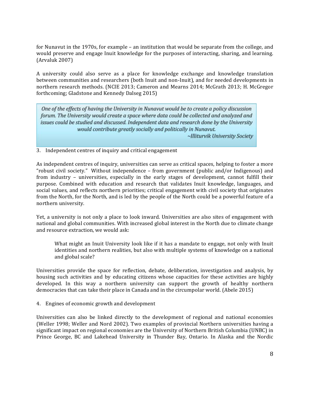for Nunavut in the 1970s, for example – an institution that would be separate from the college, and would preserve and engage Inuit knowledge for the purposes of interacting, sharing, and learning.  $(Arvaluk 2007)$ 

A university could also serve as a place for knowledge exchange and knowledge translation between communities and researchers (both Inuit and non-Inuit), and for needed developments in northern research methods. (NCIE 2013; Cameron and Mearns 2014; McGrath 2013; H. McGregor forthcoming; Gladstone and Kennedy Dalseg 2015)

One of the effects of having the University in Nunavut would be to create a policy discussion forum. The University would create a space where data could be collected and analyzed and issues could be studied and discussed. Independent data and research done by the University would contribute greatly socially and politically in Nunavut.

~Illiturvik University Society

3. Independent centres of inquiry and critical engagement

As independent centres of inquiry, universities can serve as critical spaces, helping to foster a more "robust civil society." Without independence – from government (public and/or Indigenous) and from industry – universities, especially in the early stages of development, cannot fulfill their purpose. Combined with education and research that validates Inuit knowledge, languages, and social values, and reflects northern priorities; critical engagement with civil society that originates from the North, for the North, and is led by the people of the North could be a powerful feature of a northern university.

Yet, a university is not only a place to look inward. Universities are also sites of engagement with national and global communities. With increased global interest in the North due to climate change and resource extraction, we would ask:

What might an Inuit University look like if it has a mandate to engage, not only with Inuit identities and northern realities, but also with multiple systems of knowledge on a national and global scale?

Universities provide the space for reflection, debate, deliberation, investigation and analysis, by housing such activities and by educating citizens whose capacities for these activities are highly developed. In this way a northern university can support the growth of healthy northern democracies that can take their place in Canada and in the circumpolar world. (Abele 2015)

4. Engines of economic growth and development

Universities can also be linked directly to the development of regional and national economies (Weller 1998; Weller and Nord 2002). Two examples of provincial Northern universities having a significant impact on regional economies are the University of Northern British Columbia (UNBC) in Prince George, BC and Lakehead University in Thunder Bay, Ontario. In Alaska and the Nordic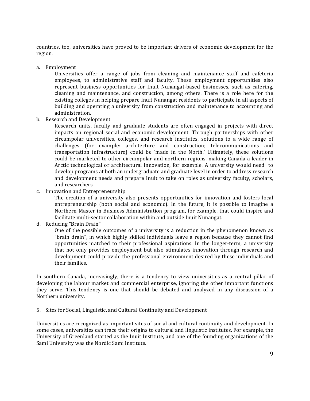countries, too, universities have proved to be important drivers of economic development for the region.

a. Employment

Universities offer a range of jobs from cleaning and maintenance staff and cafeteria employees, to administrative staff and faculty. These employment opportunities also represent business opportunities for Inuit Nunangat-based businesses, such as catering, cleaning and maintenance, and construction, among others. There is a role here for the existing colleges in helping prepare Inuit Nunangat residents to participate in all aspects of building and operating a university from construction and maintenance to accounting and administration.

b. Research and Development

Research units, faculty and graduate students are often engaged in projects with direct impacts on regional social and economic development. Through partnerships with other circumpolar universities, colleges, and research institutes, solutions to a wide range of challenges (for example: architecture and construction; telecommunications and transportation infrastructure) could be 'made in the North.' Ultimately, these solutions could be marketed to other circumpolar and northern regions, making Canada a leader in Arctic technological or architectural innovation, for example. A university would need to develop programs at both an undergraduate and graduate level in order to address research and development needs and prepare Inuit to take on roles as university faculty, scholars, and researchers

c. Innovation and Entrepreneurship

The creation of a university also presents opportunities for innovation and fosters local entrepreneurship (both social and economic). In the future, it is possible to imagine a Northern Master in Business Administration program, for example, that could inspire and facilitate multi-sector collaboration within and outside Inuit Nunangat.

d. Reducing "Brain Drain"

One of the possible outcomes of a university is a reduction in the phenomenon known as "brain drain", in which highly skilled individuals leave a region because they cannot find opportunities matched to their professional aspirations. In the longer-term, a university that not only provides employment but also stimulates innovation through research and development could provide the professional environment desired by these individuals and their families.

In southern Canada, increasingly, there is a tendency to view universities as a central pillar of developing the labour market and commercial enterprise, ignoring the other important functions they serve. This tendency is one that should be debated and analyzed in any discussion of a Northern university.

5. Sites for Social, Linguistic, and Cultural Continuity and Development

Universities are recognized as important sites of social and cultural continuity and development. In some cases, universities can trace their origins to cultural and linguistic institutes. For example, the University of Greenland started as the Inuit Institute, and one of the founding organizations of the Sami University was the Nordic Sami Institute.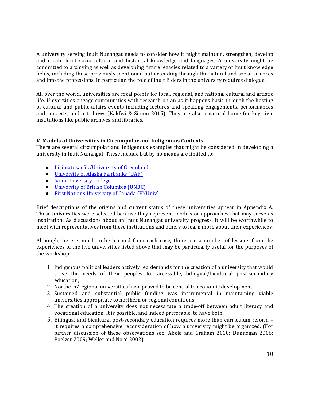A university serving Inuit Nunangat needs to consider how it might maintain, strengthen, develop and create Inuit socio-cultural and historical knowledge and languages. A university might be committed to archiving as well as developing future legacies related to a variety of Inuit knowledge fields, including those previously mentioned but extending through the natural and social sciences and into the professions. In particular, the role of Inuit Elders in the university requires dialogue.

All over the world, universities are focal points for local, regional, and national cultural and artistic life. Universities engage communities with research on an as-it-happens basis through the hosting of cultural and public affairs events including lectures and speaking engagements, performances and concerts, and art shows (Kakfwi & Simon 2015). They are also a natural home for key civic institutions like public archives and libraries.

#### **V. Models of Universities in Circumpolar and Indigenous Contexts**

There are several circumpolar and Indigenous examples that might be considered in developing a university in Inuit Nunangat. These include but by no means are limited to:

- Ilisimatusarfik/University of Greenland
- University of Alaska Fairbanks (UAF)
- Sami University College
- University of British Columbia (UNBC)
- First Nations University of Canada (FNUniv)

Brief descriptions of the origins and current status of these universities appear in Appendix A. These universities were selected because they represent models or approaches that may serve as inspiration. As discussions about an Inuit Nunangat university progress, it will be worthwhile to meet with representatives from these institutions and others to learn more about their experiences.

Although there is much to be learned from each case, there are a number of lessons from the experiences of the five universities listed above that may be particularly useful for the purposes of the workshop:

- 1. Indigenous political leaders actively led demands for the creation of a university that would serve the needs of their peoples for accessible, bilingual/bicultural post-secondary education;
- 2. Northern/regional universities have proved to be central to economic development.
- 3. Sustained and substantial public funding was instrumental in maintaining viable universities appropriate to northern or regional conditions;
- 4. The creation of a university does not necessitate a trade-off between adult literacy and vocational education. It is possible, and indeed preferable, to have both.
- 5. Bilingual and bicultural post-secondary education requires more than curriculum reform it requires a comprehensive reconsideration of how a university might be organized. (For further discussion of these observations see: Abele and Graham 2010; Dunnegan 2006; Poelzer 2009; Weller and Nord 2002)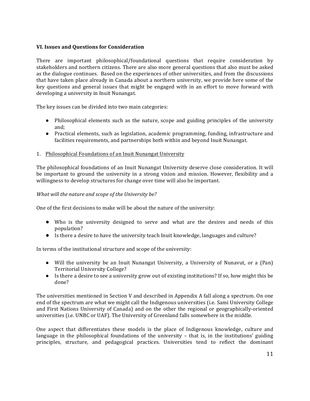#### **VI. Issues and Questions for Consideration**

There are important philosophical/foundational questions that require consideration by stakeholders and northern citizens. There are also more general questions that also must be asked as the dialogue continues. Based on the experiences of other universities, and from the discussions that have taken place already in Canada about a northern university, we provide here some of the key questions and general issues that might be engaged with in an effort to move forward with developing a university in Inuit Nunangat.

The key issues can be divided into two main categories:

- Philosophical elements such as the nature, scope and guiding principles of the university and;
- Practical elements, such as legislation, academic programming, funding, infrastructure and facilities requirements, and partnerships both within and beyond Inuit Nunangat.

#### 1. Philosophical Foundations of an Inuit Nunangat University

The philosophical foundations of an Inuit Nunangat University deserve close consideration. It will be important to ground the university in a strong vision and mission. However, flexibility and a willingness to develop structures for change over time will also be important.

#### *What will the nature and scope of the University be?*

One of the first decisions to make will be about the nature of the university:

- Who is the university designed to serve and what are the desires and needs of this population?
- $\bullet$  Is there a desire to have the university teach Inuit knowledge, languages and culture?

In terms of the institutional structure and scope of the university:

- Will the university be an Inuit Nunangat University, a University of Nunavut, or a (Pan) Territorial University College?
- Is there a desire to see a university grow out of existing institutions? If so, how might this be done?

The universities mentioned in Section V and described in Appendix A fall along a spectrum. On one end of the spectrum are what we might call the Indigenous universities (i.e. Sami University College and First Nations University of Canada) and on the other the regional or geographically-oriented universities (i.e. UNBC or UAF). The University of Greenland falls somewhere in the middle.

One aspect that differentiates these models is the place of Indigenous knowledge, culture and language in the philosophical foundations of the university – that is, in the institutions' guiding principles, structure, and pedagogical practices. Universities tend to reflect the dominant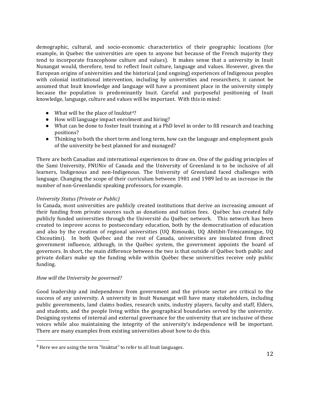demographic, cultural, and socio-economic characteristics of their geographic locations (for example, in Quebec the universities are open to anyone but because of the French majority they tend to incorporate francophone culture and values). It makes sense that a university in Inuit Nunangat would, therefore, tend to reflect Inuit culture, language and values. However, given the European origins of universities and the historical (and ongoing) experiences of Indigenous peoples with colonial institutional intervention, including by universities and researchers, it cannot be assumed that Inuit knowledge and language will have a prominent place in the university simply because the population is predominantly Inuit. Careful and purposeful positioning of Inuit knowledge, language, culture and values will be important. With this in mind:

- $\bullet$  What will be the place of Inuktut<sup>4?</sup>
- How will language impact enrolment and hiring?
- What can be done to foster Inuit training at a PhD level in order to fill research and teaching positions?
- Thinking to both the short term and long term, how can the language and employment goals of the university be best planned for and managed?

There are both Canadian and international experiences to draw on. One of the guiding principles of the Sami University, FNUNiv of Canada and the University of Greenland is to be inclusive of all learners, Indigenous and non-Indigenous. The University of Greenland faced challenges with language. Changing the scope of their curriculum between 1981 and 1989 led to an increase in the number of non-Greenlandic speaking professors, for example.

#### *University Status (Private or Public)*

In Canada, most universities are publicly created institutions that derive an increasing amount of their funding from private sources such as donations and tuition fees. Québec has created fully publicly funded universities through the Université du Québec network. This network has been created to improve access to postsecondary education, both by the democratisation of education and also by the creation of regional universities (UQ Rimouski, UQ Abitibit-Témicamingue, UQ Chicoutimi). In both Québec and the rest of Canada, universities are insulated from direct government influence, although, in the Québec system, the government appoints the board of governors. In short, the main difference between the two is that outside of Québec both public and private dollars make up the funding while within Québec these universities receive only public funding.

#### *How will the University be governed?*

!!!!!!!!!!!!!!!!!!!!!!!!!!!!!!!!!!!!!!!!!!!!!!!!!!!!!!!

Good leadership and independence from government and the private sector are critical to the success of any university. A university in Inuit Nunangat will have many stakeholders, including public governments, land claims bodies, research units, industry players, faculty and staff, Elders, and students, and the people living within the geographical boundaries served by the university. Designing systems of internal and external governance for the university that are inclusive of these voices while also maintaining the integrity of the university's independence will be important. There are many examples from existing universities about how to do this.

 $4$  Here we are using the term "Inuktut" to refer to all Inuit languages.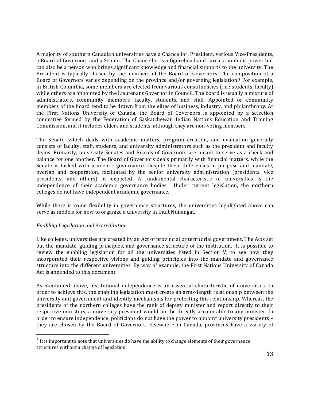A majority of southern Canadian universities have a Chancellor, President, various Vice-Presidents, a Board of Governors and a Senate. The Chancellor is a figurehead and carries symbolic power but can also be a person who brings significant knowledge and financial supports to the university. The President is typically chosen by the members of the Board of Governors. The composition of a Board of Governors varies depending on the province and/or governing legislation.<sup>5</sup> For example, in British Columbia, some members are elected from various constituencies (i.e.: students, faculty) while others are appointed by the Lieutenant Governor in Council. The board is usually a mixture of administrators, community members, faculty, students, and staff. Appointed or community members of the board tend to be drawn from the elites of business, industry, and philanthropy. At the First Nations University of Canada, the Board of Governors is appointed by a selection committee formed by the Federation of Saskatchewan Indian Nations Education and Training Commission, and it includes elders and students, although they are non-voting members.

The Senate, which deals with academic matters, program creation, and evaluation generally consists of faculty, staff, students, and university administrators such as the president and faculty deans. Primarily, university Senates and Boards of Governors are meant to serve as a check and balance for one another. The Board of Governors deals primarily with financial matters, while the Senate is tasked with academic governance. Despite these differences in purpose and mandate, overlap and cooperation, facilitated by the senior university administration (presidents, vice presidents, and others), is expected. A fundamental characteristic of universities is the independence of their academic governance bodies. Under current legislation, the northern colleges do not have independent academic governance.

While there is some flexibility in governance structures, the universities highlighted above can serve as models for how to organize a university in Inuit Nunangat.

#### *Enabling&Legislation and&Accreditation*

!!!!!!!!!!!!!!!!!!!!!!!!!!!!!!!!!!!!!!!!!!!!!!!!!!!!!!!

Like colleges, universities are created by an Act of provincial or territorial government. The Acts set out the mandate, guiding principles, and governance structure of the institution. It is possible to review the enabling legislation for all the universities listed in Section V, to see how they incorporated their respective visions and guiding principles into the mandate and governance structure into the different universities. By way of example, the First Nations University of Canada Act is appended to this document.

As mentioned above, institutional independence is an essential characteristic of universities. In order to achieve this, the enabling legislation must create an arms-length relationship between the university and government and identify mechanisms for protecting this relationship. Whereas, the presidents of the northern colleges have the rank of deputy minister and report directly to their respective ministers, a university president would not be directly accountable to any minister. In order to ensure independence, politicians do not have the power to appoint university presidents – they are chosen by the Board of Governors. Elsewhere in Canada, provinces have a variety of

 $<sup>5</sup>$  It is important to note that universities do have the ability to change elements of their governance</sup> structures without a change of legislation.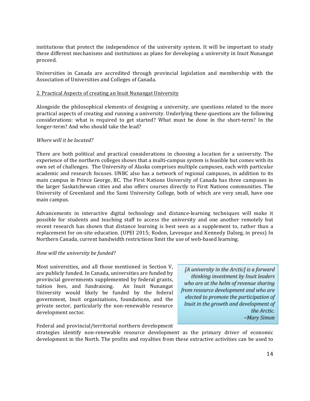institutions that protect the independence of the university system. It will be important to study these different mechanisms and institutions as plans for developing a university in Inuit Nunangat proceed.

Universities in Canada are accredited through provincial legislation and membership with the Association of Universities and Colleges of Canada.

#### 2. Practical Aspects of creating an Inuit Nunangat University

Alongside the philosophical elements of designing a university, are questions related to the more practical aspects of creating and running a university. Underlying these questions are the following considerations: what is required to get started? What must be done in the short-term? In the longer-term? And who should take the lead?

#### *Where will it be located?*

There are both political and practical considerations in choosing a location for a university. The experience of the northern colleges shows that a multi-campus system is feasible but comes with its own set of challenges. The University of Alaska comprises multiple campuses, each with particular academic and research focuses. UNBC also has a network of regional campuses, in addition to its main campus in Prince George, BC. The First Nations University of Canada has three campuses in the larger Saskatchewan cities and also offers courses directly to First Nations communities. The University of Greenland and the Sami University College, both of which are very small, have one main campus.

Advancements in interactive digital technology and distance-learning techniques will make it possible for students and teaching staff to access the university and one another remotely but recent research has shown that distance learning is best seen as a supplement to, rather than a replacement for on-site education. (UPEI 2015; Rodon, Levesque and Kennedy Dalseg, in press) In Northern Canada, current bandwidth restrictions limit the use of web-based learning.

#### *How will the university be funded?*

Most universities, and all those mentioned in Section V, are publicly funded. In Canada, universities are funded by provincial governments supplemented by federal grants, tuition fees, and fundraising. An Inuit Nunangat University would likely be funded by the federal government, Inuit organizations, foundations, and the private sector, particularly the non-renewable resource development sector.

[A university in the Arctic] is a forward thinking investment by Inuit leaders who are at the helm of revenue sharing from resource development and who are elected to promote the participation of Inuit in the growth and development of the Arctic. ~Mary Simon

Federal and provincial/territorial northern development

strategies identify non-renewable resource development as the primary driver of economic development in the North. The profits and royalties from these extractive activities can be used to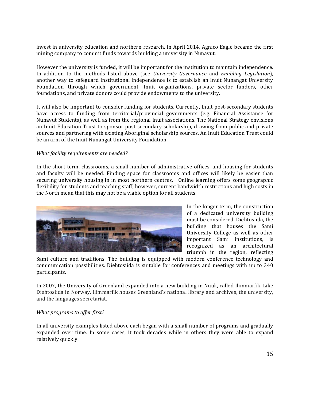invest in university education and northern research. In April 2014, Agnico Eagle became the first mining company to commit funds towards building a university in Nunavut.

However the university is funded, it will be important for the institution to maintain independence. In addition to the methods listed above (see *University Governance* and *Enabling Legislation*), another way to safeguard institutional independence is to establish an Inuit Nunangat University Foundation through which government, Inuit organizations, private sector funders, other foundations, and private donors could provide endowments to the university.

It will also be important to consider funding for students. Currently, Inuit post-secondary students have access to funding from territorial/provincial governments (e.g. Financial Assistance for Nunavut Students), as well as from the regional Inuit associations. The National Strategy envisions an Inuit Education Trust to sponsor post-secondary scholarship, drawing from public and private sources and partnering with existing Aboriginal scholarship sources. An Inuit Education Trust could be an arm of the Inuit Nunangat University Foundation.

#### *What facility requirements are needed?*

In the short-term, classrooms, a small number of administrative offices, and housing for students and faculty will be needed. Finding space for classrooms and offices will likely be easier than securing university housing in in most northern centres. Online learning offers some geographic flexibility for students and teaching staff; however, current bandwidth restrictions and high costs in the North mean that this may not be a viable option for all students.



In the longer term, the construction of a dedicated university building must be considered. Diehtosiida, the building that houses the Sami University College as well as other important Sami institutions, is recognized as an architectural triumph in the region, reflecting

Sami culture and traditions. The building is equipped with modern conference technology and communication possibilities. Diehtosiida is suitable for conferences and meetings with up to 340 participants.!

In 2007, the University of Greenland expanded into a new building in Nuuk, called Ilimmarfik. Like Diehtosiida in Norway, Ilimmarfik houses Greenland's national library and archives, the university, and the languages secretariat.

#### *What programs to offer first?*

In all university examples listed above each began with a small number of programs and gradually expanded over time. In some cases, it took decades while in others they were able to expand relatively quickly.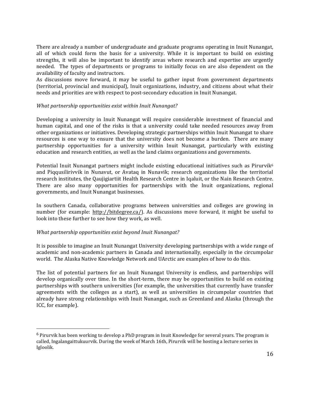There are already a number of undergraduate and graduate programs operating in Inuit Nunangat, all of which could form the basis for a university. While it is important to build on existing strengths, it will also be important to identify areas where research and expertise are urgently needed. The types of departments or programs to initially focus on are also dependent on the availability of faculty and instructors.

As discussions move forward, it may be useful to gather input from government departments (territorial, provincial and municipal), Inuit organizations, industry, and citizens about what their needs and priorities are with respect to post-secondary education in Inuit Nunangat.

#### *What partnership opportunities exist within Inuit Nunangat?*

Developing a university in Inuit Nunangat will require considerable investment of financial and human capital, and one of the risks is that a university could take needed resources away from other organizations or initiatives. Developing strategic partnerships within Inuit Nunangat to share resources is one way to ensure that the university does not become a burden. There are many partnership opportunities for a university within Inuit Nunangat, particularly with existing education and research entities, as well as the land claims organizations and governments.

Potential Inuit Nunangat partners might include existing educational initiatives such as Pirurvik<sup>6</sup> and Pigqusilirivvik in Nunavut, or Avataq in Nunavik; research organizations like the territorial research institutes, the Qaujigiartiit Health Research Centre in Iqaluit, or the Nain Research Centre. There are also many opportunities for partnerships with the Inuit organizations, regional governments, and Inuit Nunangat businesses.

In southern Canada, collaborative programs between universities and colleges are growing in number (for example: http://bitdegree.ca/). As discussions move forward, it might be useful to look into these further to see how they work, as well.

#### *What partnership opportunities exist beyond Inuit Nunangat?*

!!!!!!!!!!!!!!!!!!!!!!!!!!!!!!!!!!!!!!!!!!!!!!!!!!!!!!!

It is possible to imagine an Inuit Nunangat University developing partnerships with a wide range of academic and non-academic partners in Canada and internationally, especially in the circumpolar world. The Alaska Native Knowledge Network and UArctic are examples of how to do this.

The list of potential partners for an Inuit Nunangat University is endless, and partnerships will develop organically over time. In the short-term, there may be opportunities to build on existing partnerships with southern universities (for example, the universities that currently have transfer agreements with the colleges as a start), as well as universities in circumpolar countries that already have strong relationships with Inuit Nunangat, such as Greenland and Alaska (through the ICC, for example).

 $6$  Pirurvik has been working to develop a PhD program in Inuit Knowledge for several years. The program is called, Ingalangaittukuurvik. During the week of March 16th, Pirurvik will be hosting a lecture series in Igloolik.!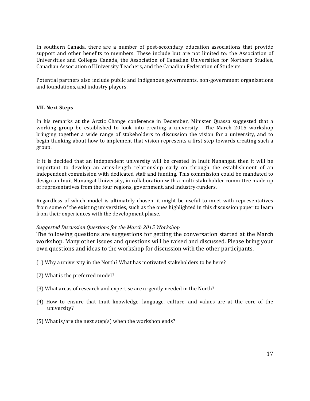In southern Canada, there are a number of post-secondary education associations that provide support and other benefits to members. These include but are not limited to: the Association of Universities and Colleges Canada, the Association of Canadian Universities for Northern Studies, Canadian Association of University Teachers, and the Canadian Federation of Students.

Potential partners also include public and Indigenous governments, non-government organizations and foundations, and industry players.

#### **VII. Next Steps**

In his remarks at the Arctic Change conference in December, Minister Quassa suggested that a working group be established to look into creating a university. The March 2015 workshop bringing together a wide range of stakeholders to discussion the vision for a university, and to begin thinking about how to implement that vision represents a first step towards creating such a group.

If it is decided that an independent university will be created in Inuit Nunangat, then it will be important to develop an arms-length relationship early on through the establishment of an independent commission with dedicated staff and funding. This commission could be mandated to design an Inuit Nunangat University, in collaboration with a multi-stakeholder committee made up of representatives from the four regions, government, and industry-funders.

Regardless of which model is ultimately chosen, it might be useful to meet with representatives from some of the existing universities, such as the ones highlighted in this discussion paper to learn from their experiences with the development phase.

#### *Suggested&Discussion&Questions&for&the&March&2015&Workshop*

The following questions are suggestions for getting the conversation started at the March workshop. Many other issues and questions will be raised and discussed. Please bring your own questions and ideas to the workshop for discussion with the other participants.

- (1) Why a university in the North? What has motivated stakeholders to be here?
- (2) What is the preferred model?
- (3) What areas of research and expertise are urgently needed in the North?
- (4) How to ensure that Inuit knowledge, language, culture, and values are at the core of the university?
- (5) What is/are the next step(s) when the workshop ends?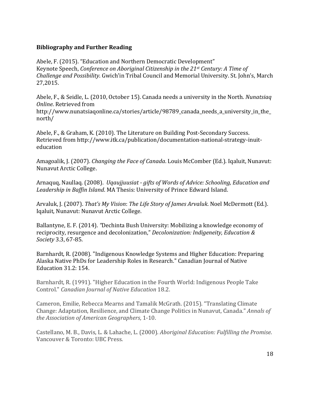#### **Bibliography and Further Reading**

Abele, F. (2015). "Education and Northern Democratic Development" Keynote Speech, *Conference on Aboriginal Citizenship in the 21st Century: A Time of Challenge and Possibility. Gwich'in Tribal Council and Memorial University. St. John's, March* 27,2015.

Abele, F., & Seidle, L. (2010, October 15). Canada needs a university in the North. *Nunatsiaq Online. Retrieved from* 

http://www.nunatsiaqonline.ca/stories/article/98789\_canada\_needs\_a\_university\_in\_the\_ north/

Abele, F., & Graham, K. (2010). The Literature on Building Post-Secondary Success. Retrieved from http://www.itk.ca/publication/documentation-national-strategy-inuiteducation

Amagoalik, J. (2007). *Changing the Face of Canada*. Louis McComber (Ed.). Iqaluit, Nunavut: Nunavut Arctic College.

Arnaquq, Naullaq. (2008). *Uqaujjuusiat - gifts of Words of Advice: Schooling, Education and* Leadership in Baffin Island. MA Thesis: University of Prince Edward Island.

Arvaluk, J. (2007). *That's My Vision: The Life Story of James Arvaluk*. Noel McDermott (Ed.). Igaluit, Nunavut: Nunavut Arctic College.

Ballantyne, E. F. (2014). *"Dechinta Bush University: Mobilizing a knowledge economy of* reciprocity, resurgence and decolonization," *Decolonization: Indigeneity, Education & Society* 3.3, 67-85.

Barnhardt, R. (2008). "Indigenous Knowledge Systems and Higher Education: Preparing Alaska Native PhDs for Leadership Roles in Research." Canadian Journal of Native Education 31.2: 154.

Barnhardt, R. (1991). "Higher Education in the Fourth World: Indigenous People Take Control." Canadian Journal of Native Education 18.2.

Cameron, Emilie, Rebecca Mearns and Tamalik McGrath. (2015). "Translating Climate Change: Adaptation, Resilience, and Climate Change Politics in Nunavut, Canada." *Annals of the Association of American Geographers, 1-10.* 

Castellano, M. B., Davis, L. & Lahache, L. (2000). *Aboriginal Education: Fulfilling the Promise.* Vancouver & Toronto: UBC Press.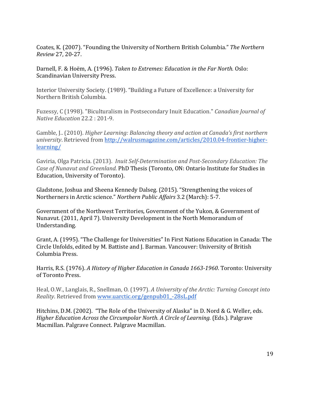Coates, K. (2007). "Founding the University of Northern British Columbia." *The Northern Review 27, 20-27.* 

Darnell, F. & Hoëm, A. (1996). *Taken to Extremes: Education in the Far North.* Oslo: Scandinavian University Press.

Interior University Society. (1989). "Building a Future of Excellence: a University for Northern British Columbia.

Fuzessy, C (1998). "Biculturalism in Postsecondary Inuit Education." *Canadian Journal of Native Education* 22.2: 201-9.

Gamble, J.. (2010). *Higher Learning: Balancing theory and action at Canada's first northern university*. Retrieved from http://walrusmagazine.com/articles/2010.04-frontier-higherlearning/

Gaviria, Olga Patricia. (2013). *Inuit Self-Determination and Post-Secondary Education: The Case of Nunavut and Greenland.* PhD Thesis (Toronto, ON: Ontario Institute for Studies in Education, University of Toronto).

Gladstone, Joshua and Sheena Kennedy Dalseg. (2015). "Strengthening the voices of Northerners in Arctic science." *Northern Public Affairs* 3.2 (March): 5-7.

Government of the Northwest Territories, Government of the Yukon, & Government of Nunavut. (2011, April 7). University Development in the North Memorandum of Understanding.

Grant, A. (1995). "The Challenge for Universities" In First Nations Education in Canada: The Circle Unfolds, edited by M. Battiste and J. Barman. Vancouver: University of British Columbia Press.

Harris, R.S. (1976). *A History of Higher Education in Canada 1663-1960*. Toronto: University of Toronto Press.

Heal, O.W., Langlais, R., Snellman, O. (1997). *A University of the Arctic: Turning Concept into Reality*. Retrieved from www.uarctic.org/genpub01\_-28sL.pdf

Hitchins, D.M. (2002). "The Role of the University of Alaska" in D. Nord & G. Weller, eds. *Higher Education Across the Circumpolar North. A Circle of Learning.* (Eds.). Palgrave Macmillan. Palgrave Connect. Palgrave Macmillan.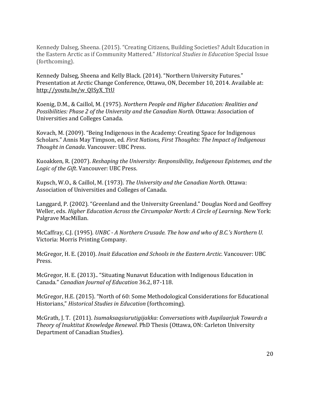Kennedy Dalseg, Sheena. (2015). "Creating Citizens, Building Societies? Adult Education in the Eastern Arctic as if Community Mattered." *Historical Studies in Education* Special Issue (forthcoming).

Kennedy Dalseg, Sheena and Kelly Black. (2014). "Northern University Futures." Presentation at Arctic Change Conference, Ottawa, ON, December 10, 2014. Available at: http://youtu.be/w\_QISyX\_TtU

Koenig, D.M., & Caillol, M. (1975). *Northern People and Higher Education: Realities and Possibilities: Phase 2 of the University and the Canadian North. Ottawa: Association of* Universities and Colleges Canada.

Kovach, M. (2009). "Being Indigenous in the Academy: Creating Space for Indigenous Scholars." Annis May Timpson, ed. *First Nations, First Thoughts: The Impact of Indigenous Thought in Canada. Vancouver: UBC Press.* 

Kuoakken, R. (2007). *Reshaping the University: Responsibility, Indigenous Epistemes, and the Logic of the Gift.* Vancouver: UBC Press.

Kupsch, W.O., & Caillol, M. (1973). *The University and the Canadian North*. Ottawa: Association of Universities and Colleges of Canada.

Langgard, P. (2002). "Greenland and the University Greenland." Douglas Nord and Geoffrey Weller, eds. *Higher Education Across the Circumpolar North: A Circle of Learning*. New York: Palgrave MacMillan.

McCaffray, C.J. (1995). *UNBC - A Northern Crusade. The how and who of B.C.'s Northern U.* Victoria: Morris Printing Company.

McGregor, H. E. (2010). *Inuit Education and Schools in the Eastern Arctic.* Vancouver: UBC Press.

McGregor, H. E. (2013).. "Situating Nunavut Education with Indigenous Education in Canada." *Canadian Journal of Education* 36.2, 87-118.

McGregor, H.E. (2015). "North of 60: Some Methodological Considerations for Educational Historians," *Historical Studies in Education* (forthcoming).

McGrath,!J.!T.!!(2011).!*Isumaksaqsiurutigijakka:&Conversations&with&Aupilaarjuk&Towards&a& Theory of Inuktitut Knowledge Renewal*. PhD Thesis (Ottawa, ON: Carleton University Department of Canadian Studies).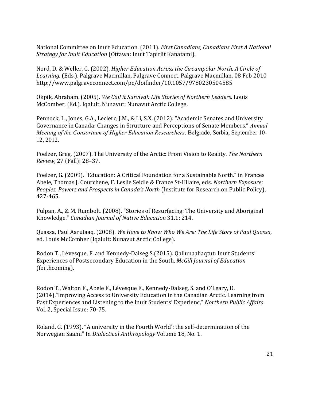National Committee on Inuit Education. (2011). *First Canadians, Canadians First A National* **Strategy for Inuit Education (Ottawa: Inuit Tapiriit Kanatami).** 

Nord, D. & Weller, G. (2002). *Higher Education Across the Circumpolar North. A Circle of* Learning. (Eds.). Palgrave Macmillan. Palgrave Connect. Palgrave Macmillan. 08 Feb 2010 http://www.palgraveconnect.com/pc/doifinder/10.1057/9780230504585

Okpik, Abraham. (2005). *We Call it Survival: Life Stories of Northern Leaders*. Louis McComber, (Ed.). Iqaluit, Nunavut: Nunavut Arctic College.

Pennock, L., Jones, G.A., Leclerc, J.M., & Li, S.X. (2012). "Academic Senates and University Governance in Canada: Changes in Structure and Perceptions of Senate Members." *Annual Meeting of the Consortium of Higher Education Researchers*. Belgrade, Serbia, September 10- 12, 2012.

Poelzer, Greg. (2007). The University of the Arctic: From Vision to Reality. *The Northern Review, 27 (Fall): 28-37.* 

Poelzer, G. (2009). "Education: A Critical Foundation for a Sustainable North." in Frances Abele, Thomas J. Courchene, F. Leslie Seidle & France St-Hilaire, eds. *Northern Exposure: Peoples, Powers and Prospects in Canada's North* (Institute for Research on Public Policy), 427-465.

Pulpan, A., & M. Rumbolt. (2008). "Stories of Resurfacing: The University and Aboriginal Knowledge." Canadian Journal of Native Education 31.1: 214.

Quassa, Paul Aarulaag. (2008). *We Have to Know Who We Are: The Life Story of Paul Quassa*, ed. Louis McComber (Iqaluit: Nunavut Arctic College).

Rodon T., Lévesque, F. and Kennedy-Dalseg S.(2015). Qallunaaliaqtut: Inuit Students' Experiences of Postsecondary Education in the South, *McGill Journal of Education* (forthcoming).

Rodon T., Walton F., Abele F., Lévesque F., Kennedy-Dalseg, S. and O'Leary, D. (2014)."Improving Access to University Education in the Canadian Arctic. Learning from Past Experiences and Listening to the Inuit Students' Experienc," *Northern Public Affairs* Vol. 2, Special Issue: 70-75.

Roland, G. (1993). "A university in the Fourth World': the self-determination of the Norwegian Saami" In *Dialectical Anthropology* Volume 18, No. 1.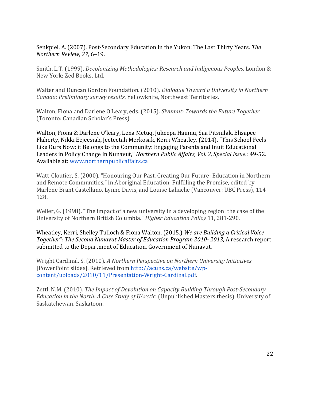Senkpiel, A. (2007). Post-Secondary Education in the Yukon: The Last Thirty Years. The *Northern&Review,&27,* 6–19.!

Smith, L.T. (1999). *Decolonizing Methodologies: Research and Indigenous Peoples*. London & New York: Zed Books, Ltd.

Walter and Duncan Gordon Foundation. (2010). *Dialogue Toward a University in Northern Canada: Preliminary survey results. Yellowknife, Northwest Territories.* 

Walton, Fiona and Darlene O'Leary, eds. (2015). *Sivumut: Towards the Future Together* (Toronto: Canadian Scholar's Press).

Walton, Fiona & Darlene O'leary, Lena Metuq, Jukeepa Hainnu, Saa Pitsiulak, Elisapee Flaherty, Nikki Eejeesiak, Jeeteetah Merkosak, Kerri Wheatley, (2014). "This School Feels Like Ours Now; it Belongs to the Community: Engaging Parents and Inuit Educational Leaders in Policy Change in Nunavut," *Northern Public Affairs, Vol. 2, Special Issue.*: 49-52. Available at: www.northernpublicaffairs.ca

Watt-Cloutier, S. (2000). "Honouring Our Past, Creating Our Future: Education in Northern and Remote Communities," in Aboriginal Education: Fulfilling the Promise, edited by Marlene Brant Castellano, Lynne Davis, and Louise Lahache (Vancouver: UBC Press), 114– 128.

Weller, G. (1998). "The impact of a new university in a developing region: the case of the University of Northern British Columbia." *Higher Education Policy* 11, 281-290.

Wheatley, Kerri, Shelley Tulloch & Fiona Walton. (2015.) *We are Building a Critical Voice Together": The Second Nunavut Master of Education Program 2010-2013, A research report* submitted to the Department of Education, Government of Nunavut.

Wright Cardinal, S. (2010). *A Northern Perspective on Northern University Initiatives* [PowerPoint slides]. Retrieved from http://acuns.ca/website/wpcontent/uploads/2010/11/Presentation-Wright-Cardinal.pdf.

Zettl, N.M. (2010). *The Impact of Devolution on Capacity Building Through Post-Secondary Education in the North: A Case Study of UArctic.* (Unpublished Masters thesis). University of Saskatchewan, Saskatoon.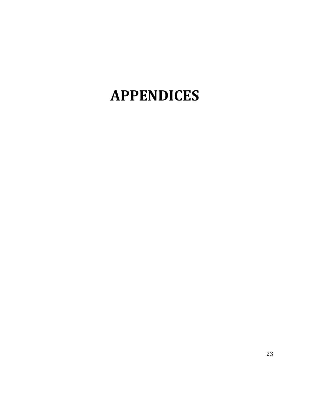## **APPENDICES**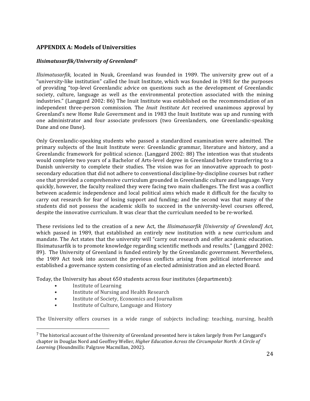#### **APPENDIX A: Models of Universities**

#### *Ilisimatusarfik/University of Greenland<sup>7</sup>*

*Ilisimatusarfik,* located in Nuuk, Greenland was founded in 1989. The university grew out of a "university-like institution" called the Inuit Institute, which was founded in 1981 for the purposes of providing "top-level Greenlandic advice on questions such as the development of Greenlandic society, culture, language as well as the environmental protection associated with the mining industries." (Langgard 2002: 86) The Inuit Institute was established on the recommendation of an independent three-person commission. The *Inuit Institute Act* received unanimous approval by Greenland's new Home Rule Government and in 1983 the Inuit Institute was up and running with one administrator and four associate professors (two Greenlanders, one Greenlandic-speaking Dane and one Dane).

Only Greenlandic-speaking students who passed a standardized examination were admitted. The primary subjects of the Inuit Institute were: Greenlandic grammar, literature and history, and a Greenlandic framework for political science. (Langgard 2002: 88) The intention was that students would complete two years of a Bachelor of Arts-level degree in Greenland before transferring to a Danish university to complete their studies. The vision was for an innovative approach to postsecondary education that did not adhere to conventional discipline-by-discipline courses but rather one that provided a comprehensive curriculum grounded in Greenlandic culture and language. Very quickly, however, the faculty realized they were facing two main challenges. The first was a conflict between academic independence and local political aims which made it difficult for the faculty to carry out research for fear of losing support and funding; and the second was that many of the students did not possess the academic skills to succeed in the university-level courses offered, despite the innovative curriculum. It was clear that the curriculum needed to be re-worked.

These revisions led to the creation of a new Act, the *Ilisimatusarfik [University of Greenland] Act*, which passed in 1989, that established an entirely new institution with a new curriculum and mandate. The Act states that the university will "carry out research and offer academic education. Ilisimatusarfik is to promote knowledge regarding scientific methods and results." (Langgard 2002: 89). The University of Greenland is funded entirely by the Greenlandic government. Nevertheless, the 1989 Act took into account the previous conflicts arising from political interference and established a governance system consisting of an elected administration and an elected Board.

Today, the University has about 650 students across four institutes (departments):

Institute of Learning

!!!!!!!!!!!!!!!!!!!!!!!!!!!!!!!!!!!!!!!!!!!!!!!!!!!!!!!

- Institute of Nursing and Health Research
- Institute of Society, Economics and Journalism
- Institute of Culture, Language and History

The University offers courses in a wide range of subjects including: teaching, nursing, health

 $<sup>7</sup>$  The historical account of the University of Greenland presented here is taken largely from Per Langgard's</sup> chapter in Douglas Nord and Geoffrey Weller, *Higher Education Across the Circumpolar North: A Circle of* Learning (Houndmills: Palgrave Macmillan, 2002).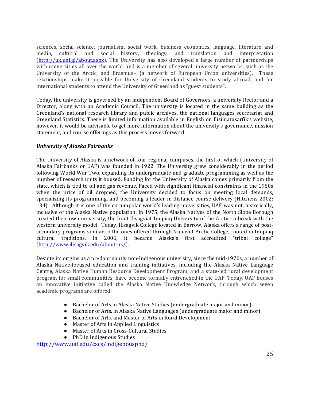sciences, social science, journalism, social work, business economics, language, literature and media, cultural and social history, theology, and translation and interpretation  $(\text{http://uk.uni.gl/about.aspx}).$  The University has also developed a large number of partnerships with universities all over the world, and is a member of several university networks, such as the University of the Arctic, and Erasmus+ (a network of European Union universities). These relationships make it possible for University of Greenland students to study abroad, and for international students to attend the University of Greenland as "guest students".

Today, the university is governed by an independent Board of Governors, a university Rector and a Director, along with an Academic Council. The university is located in the same building as the Greenland's national research library and public archives, the national languages secretariat and Greenland Statistics. There is limited information available in English on Ilisimatusarfik's website, however, it would be advisable to get more information about the university's governance, mission statement, and course offerings as this process moves forward.

#### *University of Alaska Fairbanks*

The University of Alaska is a network of four regional campuses, the first of which (University of Alaska Fairbanks or UAF) was founded in 1922. The University grew considerably in the period following World War Two, expanding its undergraduate and graduate programming as well as the number of research units it housed. Funding for the University of Alaska comes primarily from the state, which is tied to oil and gas revenue. Faced with significant financial constraints in the 1980s when the price of oil dropped, the University decided to focus on meeting local demands, specializing its programming, and becoming a leader in distance course delivery (Hitchens 2002: 134). Although it is one of the circumpolar world's leading universities, UAF was not, historically, inclusive of the Alaska Native population. In 1975, the Alaska Natives of the North Slope Borough created their own university, the Inuit Ilisagviat-Inupiaq University of the Arctic to break with the western university model. Today, Ilisagvik College located in Barrow, Alaska offers a range of postsecondary programs similar to the ones offered through Nunavut Arctic College, rooted in Inupiaq cultural traditions. In 2006, it became Alaska's first accredited "tribal college" (http://www.ilisagvik.edu/about-us/).

Despite its origins as a predominantly non-Indigenous university, since the mid-1970s, a number of Alaska Native-focused education and training initiatives, including the Alaska Native Language Centre, Alaska Native Human Resource Development Program, and a state-led rural development program for small communities, have become formally entrenched in the UAF. Today, UAF houses an innovative initiative called the Alaska Native Knowledge Network, through which seven academic programs are offered:

- Bachelor of Arts in Alaska Native Studies (undergraduate major and minor)
- Bachelor of Arts. in Alaska Native Languages (undergraduate major and minor)
- Bachelor of Arts. and Master of Arts in Rural Development
- Master of Arts in Applied Linguistics
- Master of Arts in Cross-Cultural Studies
- PhD in Indigenous Studies

http://www.uaf.edu/cxcs/indigenousphd/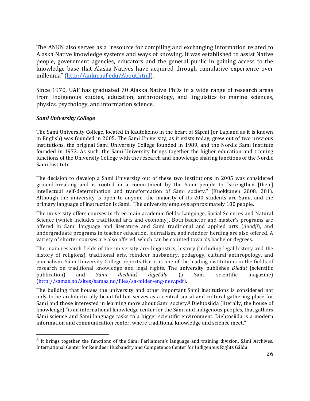The ANKN also serves as a "resource for compiling and exchanging information related to Alaska Native knowledge systems and ways of knowing. It was established to assist Native people, government agencies, educators and the general public in gaining access to the knowledge base that Alaska Natives have acquired through cumulative experience over millennia" (http://ankn.uaf.edu/About.html).

Since 1970, UAF has graduated 70 Alaska Native PhDs in a wide range of research areas from Indigenous studies, education, anthropology, and linguistics to marine sciences, physics, psychology, and information science.

#### **Sami University College**

!!!!!!!!!!!!!!!!!!!!!!!!!!!!!!!!!!!!!!!!!!!!!!!!!!!!!!!

The Sami University College, located in Kautokeino in the heart of Sápmi (or Lapland as it is known in English) was founded in 2005. The Sami University, as it exists today, grew out of two previous institutions, the original Sami University College founded in 1989, and the Nordic Sami Institute founded in 1973. As such, the Sami University brings together the higher education and training functions of the University College with the research and knowledge sharing functions of the Nordic Sami Institute.

The decision to develop a Sami University out of these two institutions in 2005 was considered ground-breaking and is rooted in a commitment by the Sami people to "strengthen [their] intellectual self-determination and transformation of Sami society." (Kuokkanen 2008: 281). Although the university is open to anyone, the majority of its 200 students are Sami, and the primary language of instruction is Sami. The university employs approximately 100 people.

The university offers courses in three main academic fields: Language, Social Sciences and Natural Science (which includes traditional arts and economy). Both bachelor and master's programs are offered in Sami language and literature and Sami traditional and applied arts (*duodji*), and undergraduate programs in teacher education, journalism, and reindeer herding are also offered. A variety of shorter courses are also offered, which can be counted towards bachelor degrees.

The main research fields of the university are: linguistics, history (including legal history and the history of religions), traditional arts, reindeer husbandry, pedagogy, cultural anthropology, and journalism. Sámi University College reports that it is one of the leading institutions in the fields of research on traditional knowledge and legal rights. The university publishes *Dieđut* (scientific publication) and *Sámi dieđalaš áigečála* (a Sami scientific magazine) (http://samas.no/sites/samas.no/files/sa-folder-eng-new.pdf).

The building that houses the university and other important Sámi institutions is considered not only to be architecturally beautiful but serves as a central social and cultural gathering place for Sami and those interested in learning more about Sami society.<sup>8</sup> Diehtosiida (literally, the house of knowledge) "is an international knowledge center for the Sámi and indigenous peoples, that gathers Sámi science and Sámi language tasks to a bigger scientific environment. Diehtosiida is a modern information and communication center, where traditional knowledge and science meet."

 $8$  It brings together the functions of the Sámi Parliament's language and training division, Sámi Archives, International Center for Reindeer Husbandry and Competence Center for Indigenous Rights Gáldu.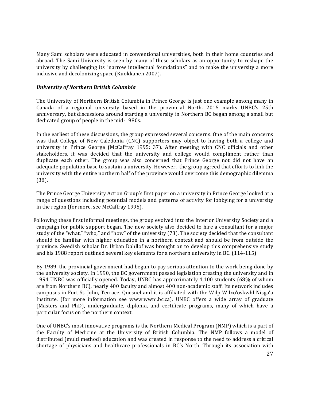Many Sami scholars were educated in conventional universities, both in their home countries and abroad. The Sami University is seen by many of these scholars as an opportunity to reshape the university by challenging its "narrow intellectual foundations" and to make the university a more inclusive and decolonizing space (Kuokkanen 2007).

#### *University of Northern British Columbia*

The University of Northern British Columbia in Prince George is just one example among many in Canada of a regional university based in the provincial North. 2015 marks UNBC's 25th anniversary, but discussions around starting a university in Northern BC began among a small but dedicated group of people in the mid-1980s.

In the earliest of these discussions, the group expressed several concerns. One of the main concerns was that College of New Caledonia (CNC) supporters may object to having both a college and university in Prince George (McCaffray 1995: 37). After meeting with CNC officials and other stakeholders, it was decided that the university and college would compliment rather than duplicate each other. The group was also concerned that Prince George not did not have an adequate population base to sustain a university. However, the group agreed that efforts to link the university with the entire northern half of the province would overcome this demographic dilemma (38).

The Prince George University Action Group's first paper on a university in Prince George looked at a range of questions including potential models and patterns of activity for lobbying for a university in the region (for more, see McCaffray 1995).

Following these first informal meetings, the group evolved into the Interior University Society and a campaign for public support began. The new society also decided to hire a consultant for a major study of the "what," "who," and "how" of the university (73). The society decided that the consultant should be familiar with higher education in a northern context and should be from outside the province. Swedish scholar Dr. Urban Dahllof was brought on to develop this comprehensive study and his 1988 report outlined several key elements for a northern university in BC. (114-115)

By 1989, the provincial government had begun to pay serious attention to the work being done by the university society. In 1990, the BC government passed legislation creating the university and in 1994 UNBC was officially opened. Today, UNBC has approximately 4,100 students (68% of whom are from Northern BC), nearly 400 faculty and almost 400 non-academic staff. Its network includes campuses in Fort St. John, Terrace, Quesnel and it is affiliated with the Wilp Wilxo'oskwhl Nisga'a Institute. (for more information see www.wwni.bc.ca). UNBC offers a wide array of graduate (Masters and PhD), undergraduate, diploma, and certificate programs, many of which have a particular focus on the northern context.

One of UNBC's most innovative programs is the Northern Medical Program (NMP) which is a part of the Faculty of Medicine at the University of British Columbia. The NMP follows a model of distributed (multi method) education and was created in response to the need to address a critical shortage of physicians and healthcare professionals in BC's North. Through its association with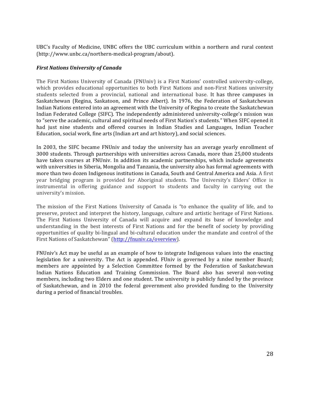UBC's Faculty of Medicine, UNBC offers the UBC curriculum within a northern and rural context  $(\text{http://www.unbc.ca/northern-mediated-program/about}).$ 

#### *First Nations University of Canada*

The First Nations University of Canada (FNUniv) is a First Nations' controlled university-college, which provides educational opportunities to both First Nations and non-First Nations university students selected from a provincial, national and international base. It has three campuses in Saskatchewan (Regina, Saskatoon, and Prince Albert). In 1976, the Federation of Saskatchewan Indian Nations entered into an agreement with the University of Regina to create the Saskatchewan Indian Federated College (SIFC). The independently administered university-college's mission was to "serve the academic, cultural and spiritual needs of First Nation's students." When SIFC opened it had just nine students and offered courses in Indian Studies and Languages, Indian Teacher Education, social work, fine arts (Indian art and art history), and social sciences.

In 2003, the SIFC became FNUniv and today the university has an average yearly enrollment of 3000 students. Through partnerships with universities across Canada, more than 25,000 students have taken courses at FNUniv. In addition its academic partnerships, which include agreements with universities in Siberia, Mongolia and Tanzania, the university also has formal agreements with more than two dozen Indigenous institutions in Canada, South and Central America and Asia. A first year bridging program is provided for Aboriginal students. The University's Elders' Office is instrumental in offering guidance and support to students and faculty in carrying out the university's mission.

The mission of the First Nations University of Canada is "to enhance the quality of life, and to preserve, protect and interpret the history, language, culture and artistic heritage of First Nations. The First Nations University of Canada will acquire and expand its base of knowledge and understanding in the best interests of First Nations and for the benefit of society by providing opportunities of quality bi-lingual and bi-cultural education under the mandate and control of the First Nations of Saskatchewan" (http://fnuniv.ca/overview).

FNUniv's Act may be useful as an example of how to integrate Indigenous values into the enacting legislation for a university. The Act is appended. FUniv is governed by a nine member Board; members are appointed by a Selection Committee formed by the Federation of Saskatchewan Indian Nations Education and Training Commission. The Board also has several non-voting members, including two Elders and one student. The university is publicly funded by the province of Saskatchewan, and in 2010 the federal government also provided funding to the University during a period of financial troubles.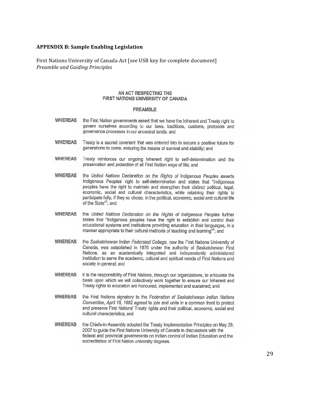#### **APPENDIX B: Sample Enabling Legislation**

First Nations University of Canada Act [see USB key for complete document] *Preamble and Guiding Principles* 

#### AN ACT RESPECTING THE FIRST NATIONS UNIVERSITY OF CANADA

#### **PREAMBLE**

- **WHEREAS** the First Nation governments assert that we have the Inherent and Treaty right to govern ourselves according to our laws, traditions, customs, protocols and governance processes in our ancestral lands; and
- **WHEREAS** Treaty is a sacred covenant that was entered into to secure a positive future for generations to come, ensuring the means of survival and stability; and
- **WHEREAS** Treaty reinforces our ongoing Inherent right to self-determination and the preservation and protection of all First Nation ways of life; and
- **WHEREAS** the United Nations Declaration on the Rights of Indigenous Peoples asserts Indigenous Peoples' right to self-determination and states that "Indigenous peoples have the right to maintain and strengthen their distinct political, legal, economic, social and cultural characteristics, while retaining their rights to participate fully, if they so chose, in the political, economic, social and cultural life of the State"<sup>1</sup>; and
- **WHEREAS** the United Nations Declaration on the Rights of Indigenous Peoples further states that "Indigenous peoples have the right to establish and control their educational systems and institutions providing education in their languages, in a manner appropriate to their cultural methods of teaching and learning"<sup>2</sup>; and
- **WHEREAS** the Saskatchewan Indian Federated College, now the First Nations University of Canada, was established in 1976 under the authority of Saskatchewan First Nations, as an academically integrated and independently administered institution to serve the academic, cultural and spiritual needs of First Nations and society in general; and
- **WHEREAS** it is the responsibility of First Nations, through our organizations, to articulate the basis upon which we will collectively work together to ensure our Inherent and Treaty rights to education are honoured, implemented and sustained; and
- **WHEREAS** the First Nations signatory to the Federation of Saskatchewan Indian Nations Convention, April 16, 1982 agreed to join and unite in a common front to protect and preserve First Nations' Treaty rights and their political, economic, social and cultural characteristics; and
- **WHEREAS** the Chiefs-in-Assembly adopted the Treaty Implementation Principles on May 29, 2007 to guide the First Nations University of Canada in discussions with the federal and provincial governments on Indian control of Indian Education and the accreditation of First Nation university degrees.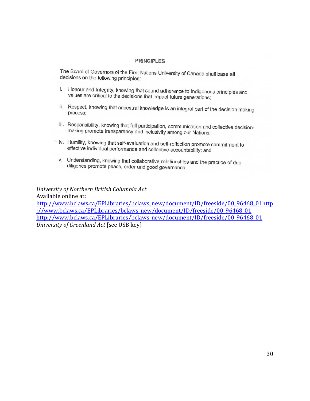#### **PRINCIPLES**

The Board of Governors of the First Nations University of Canada shall base all decisions on the following principles:

- i. Honour and Integrity, knowing that sound adherence to Indigenous principles and values are critical to the decisions that impact future generations;
- ii. Respect, knowing that ancestral knowledge is an integral part of the decision making process:
- iii. Responsibility, knowing that full participation, communication and collective decisionmaking promote transparency and inclusivity among our Nations;
- iv. Humility, knowing that self-evaluation and self-reflection promote commitment to effective individual performance and collective accountability; and
- v. Understanding, knowing that collaborative relationships and the practice of due diligence promote peace, order and good governance.

*University&of&Northern&British&Columbia&Act* Available online at: http://www.bclaws.ca/EPLibraries/bclaws\_new/document/ID/freeside/00\_96468\_01http ://www.bclaws.ca/EPLibraries/bclaws\_new/document/ID/freeside/00\_96468\_01 http://www.bclaws.ca/EPLibraries/bclaws\_new/document/ID/freeside/00\_96468\_01 *University of Greenland Act* [see USB key]